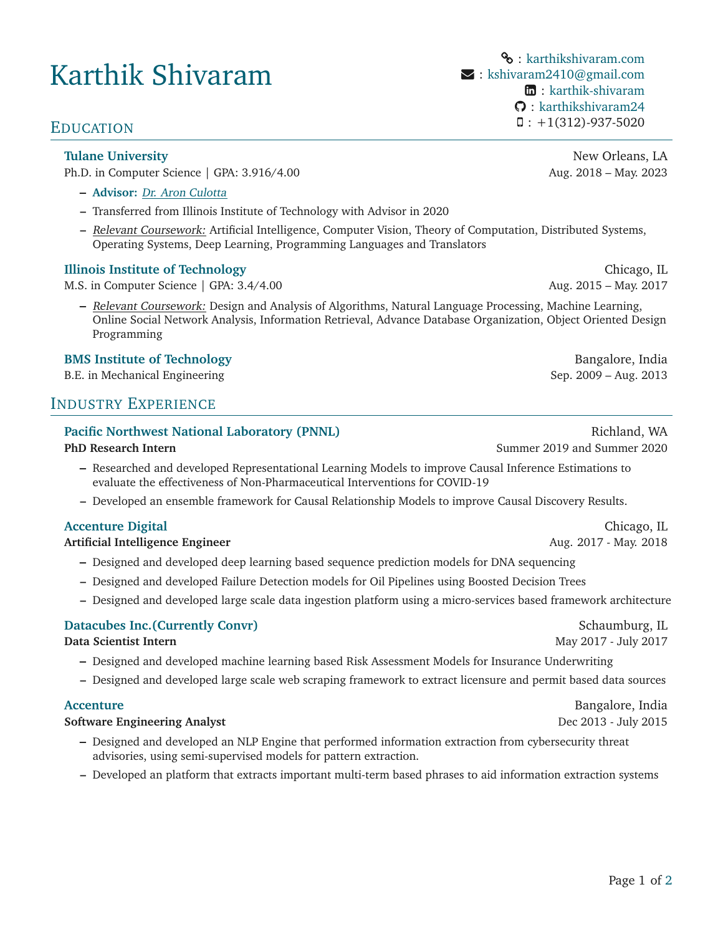# Karthik Shivaram

Ph.D. in Computer Science | GPA: 3.916/4.00 Aug. 2018 – May. 2023

- **– [Advisor:](http://cs.tulane.edu/~aculotta/)** Dr. Aron Culotta
- **–** Transferred from Illinois Institute of Technology with Advisor in 2020
- **–** Relevant Coursework: Artificial Intelligence, Computer Vision, Theory of Computation, Distributed Systems, Operating Systems, Deep Learning, Programming Languages and Translators

### **[Illinois Institute of Technology](https://www.iit.edu/)** Chicago, IL

M.S. in Computer Science | GPA: 3.4/4.00 Aug. 2015 – May. 2017

**–** Relevant Coursework: Design and Analysis of Algorithms, Natural Language Processing, Machine Learning, Online Social Network Analysis, Information Retrieval, Advance Database Organization, Object Oriented Design Programming

#### **[BMS Institute of Technology](https://bmsit.ac.in/) Bangalore, India**

B.E. in Mechanical Engineering Theorem 2009 – Aug. 2013

# INDUSTRY EXPERIENCE

### **[Pacific Northwest National Laboratory \(PNNL\)](https://www.pnnl.gov/) Richland, WA Richland, WA Richland, WA**

- **–** Researched and developed Representational Learning Models to improve Causal Inference Estimations to evaluate the effectiveness of Non-Pharmaceutical Interventions for COVID-19
- **–** Developed an ensemble framework for Causal Relationship Models to improve Causal Discovery Results.

### **[Accenture Digital](https://www.accenture.com/us-en/services/applied-intelligence-index)** Chicago, IL **Chicago, IL** Chicago, IL Chicago, IL Chicago, IL Chicago, IL Chicago, IL Chicago, IL

#### **Artificial Intelligence Engineer Aug. 2017 - May. 2018**

- **–** Designed and developed deep learning based sequence prediction models for DNA sequencing
- **–** Designed and developed Failure Detection models for Oil Pipelines using Boosted Decision Trees
- **–** Designed and developed large scale data ingestion platform using a micro-services based framework architecture

#### **[Datacubes Inc.\(Currently Convr\)](https://www.convr.com/)** Schaumburg, IL

#### **Data Scientist Intern** May 2017 - July 2017

- **–** Designed and developed machine learning based Risk Assessment Models for Insurance Underwriting
- **–** Designed and developed large scale web scraping framework to extract licensure and permit based data sources

#### **Software Engineering Analyst Dec 2013 - July 2015**

- **–** Designed and developed an NLP Engine that performed information extraction from cybersecurity threat advisories, using semi-supervised models for pattern extraction.
- **–** Developed an platform that extracts important multi-term based phrases to aid information extraction systems

%: [karthikshivaram.com](https://karthikshivaram.com/) : [kshivaram2410@gmail.com](mailto:kshivaram2410@gmail.com) : [karthik-shivaram](https://www.linkedin.com/in/karthik-shivaram/) : [karthikshivaram24](https://github.com/karthikshivaram24) : +1(312)-937-5020 EDUCATION

**[Tulane University](https://tulane.edu/) New Orleans**, LA

**PhD Research Intern** Summer 2019 and Summer 2020

**[Accenture](https://www.accenture.com/in-en)** Bangalore, India